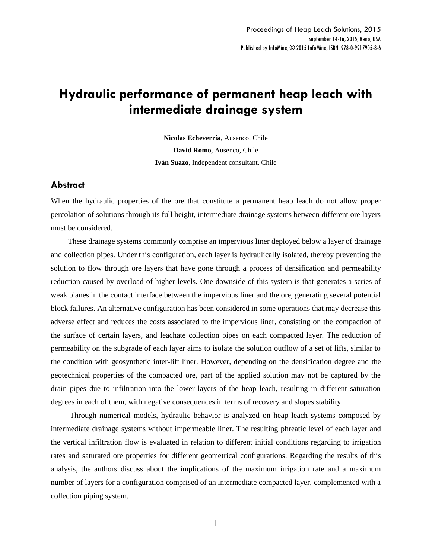# **Hydraulic performance of permanent heap leach with intermediate drainage system**

**Nicolas Echeverría**, Ausenco, Chile **David Romo**, Ausenco, Chile **Iván Suazo**, Independent consultant, Chile

# **Abstract**

When the hydraulic properties of the ore that constitute a permanent heap leach do not allow proper percolation of solutions through its full height, intermediate drainage systems between different ore layers must be considered.

These drainage systems commonly comprise an impervious liner deployed below a layer of drainage and collection pipes. Under this configuration, each layer is hydraulically isolated, thereby preventing the solution to flow through ore layers that have gone through a process of densification and permeability reduction caused by overload of higher levels. One downside of this system is that generates a series of weak planes in the contact interface between the impervious liner and the ore, generating several potential block failures. An alternative configuration has been considered in some operations that may decrease this adverse effect and reduces the costs associated to the impervious liner, consisting on the compaction of the surface of certain layers, and leachate collection pipes on each compacted layer. The reduction of permeability on the subgrade of each layer aims to isolate the solution outflow of a set of lifts, similar to the condition with geosynthetic inter-lift liner. However, depending on the densification degree and the geotechnical properties of the compacted ore, part of the applied solution may not be captured by the drain pipes due to infiltration into the lower layers of the heap leach, resulting in different saturation degrees in each of them, with negative consequences in terms of recovery and slopes stability.

Through numerical models, hydraulic behavior is analyzed on heap leach systems composed by intermediate drainage systems without impermeable liner. The resulting phreatic level of each layer and the vertical infiltration flow is evaluated in relation to different initial conditions regarding to irrigation rates and saturated ore properties for different geometrical configurations. Regarding the results of this analysis, the authors discuss about the implications of the maximum irrigation rate and a maximum number of layers for a configuration comprised of an intermediate compacted layer, complemented with a collection piping system.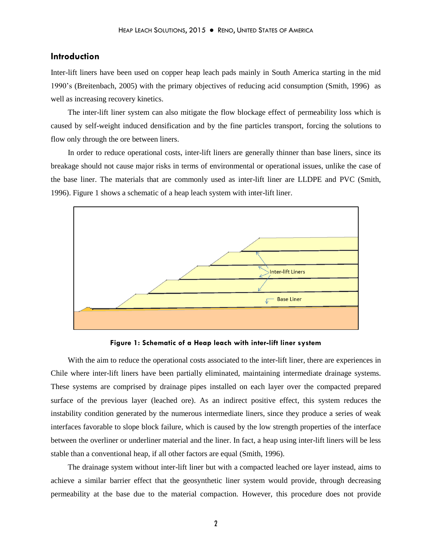# **Introduction**

Inter-lift liners have been used on copper heap leach pads mainly in South America starting in the mid 1990's (Breitenbach, 2005) with the primary objectives of reducing acid consumption (Smith, 1996) as well as increasing recovery kinetics.

The inter-lift liner system can also mitigate the flow blockage effect of permeability loss which is caused by self-weight induced densification and by the fine particles transport, forcing the solutions to flow only through the ore between liners.

In order to reduce operational costs, inter-lift liners are generally thinner than base liners, since its breakage should not cause major risks in terms of environmental or operational issues, unlike the case of the base liner. The materials that are commonly used as inter-lift liner are LLDPE and PVC (Smith, 1996). Figure 1 shows a schematic of a heap leach system with inter-lift liner.



**Figure 1: Schematic of a Heap leach with inter-lift liner system**

With the aim to reduce the operational costs associated to the inter-lift liner, there are experiences in Chile where inter-lift liners have been partially eliminated, maintaining intermediate drainage systems. These systems are comprised by drainage pipes installed on each layer over the compacted prepared surface of the previous layer (leached ore). As an indirect positive effect, this system reduces the instability condition generated by the numerous intermediate liners, since they produce a series of weak interfaces favorable to slope block failure, which is caused by the low strength properties of the interface between the overliner or underliner material and the liner. In fact, a heap using inter-lift liners will be less stable than a conventional heap, if all other factors are equal (Smith, 1996).

The drainage system without inter-lift liner but with a compacted leached ore layer instead, aims to achieve a similar barrier effect that the geosynthetic liner system would provide, through decreasing permeability at the base due to the material compaction. However, this procedure does not provide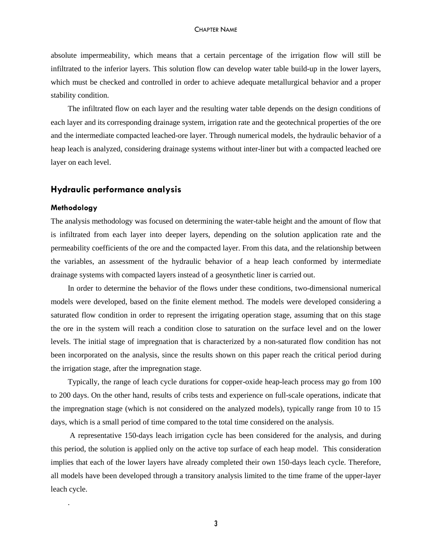absolute impermeability, which means that a certain percentage of the irrigation flow will still be infiltrated to the inferior layers. This solution flow can develop water table build-up in the lower layers, which must be checked and controlled in order to achieve adequate metallurgical behavior and a proper stability condition.

The infiltrated flow on each layer and the resulting water table depends on the design conditions of each layer and its corresponding drainage system, irrigation rate and the geotechnical properties of the ore and the intermediate compacted leached-ore layer. Through numerical models, the hydraulic behavior of a heap leach is analyzed, considering drainage systems without inter-liner but with a compacted leached ore layer on each level.

# **Hydraulic performance analysis**

## **Methodology**

.

The analysis methodology was focused on determining the water-table height and the amount of flow that is infiltrated from each layer into deeper layers, depending on the solution application rate and the permeability coefficients of the ore and the compacted layer. From this data, and the relationship between the variables, an assessment of the hydraulic behavior of a heap leach conformed by intermediate drainage systems with compacted layers instead of a geosynthetic liner is carried out.

In order to determine the behavior of the flows under these conditions, two-dimensional numerical models were developed, based on the finite element method. The models were developed considering a saturated flow condition in order to represent the irrigating operation stage, assuming that on this stage the ore in the system will reach a condition close to saturation on the surface level and on the lower levels. The initial stage of impregnation that is characterized by a non-saturated flow condition has not been incorporated on the analysis, since the results shown on this paper reach the critical period during the irrigation stage, after the impregnation stage.

Typically, the range of leach cycle durations for copper-oxide heap-leach process may go from 100 to 200 days. On the other hand, results of cribs tests and experience on full-scale operations, indicate that the impregnation stage (which is not considered on the analyzed models), typically range from 10 to 15 days, which is a small period of time compared to the total time considered on the analysis.

A representative 150-days leach irrigation cycle has been considered for the analysis, and during this period, the solution is applied only on the active top surface of each heap model. This consideration implies that each of the lower layers have already completed their own 150-days leach cycle. Therefore, all models have been developed through a transitory analysis limited to the time frame of the upper-layer leach cycle.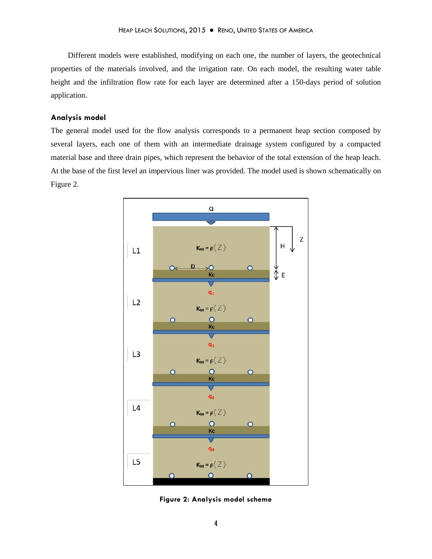Different models were established, modifying on each one, the number of layers, the geotechnical properties of the materials involved, and the irrigation rate. On each model, the resulting water table height and the infiltration flow rate for each layer are determined after a 150-days period of solution application.

# **Analysis model**

The general model used for the flow analysis corresponds to a permanent heap section composed by several layers, each one of them with an intermediate drainage system configured by a compacted material base and three drain pipes, which represent the behavior of the total extension of the heap leach. At the base of the first level an impervious liner was provided. The model used is shown schematically on Figure 2.



**Figure 2: Analysis model scheme**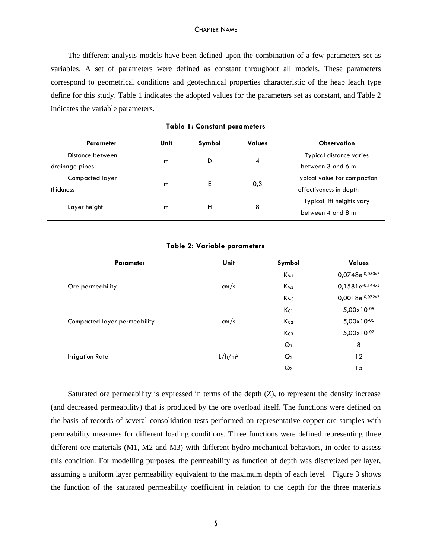The different analysis models have been defined upon the combination of a few parameters set as variables. A set of parameters were defined as constant throughout all models. These parameters correspond to geometrical conditions and geotechnical properties characteristic of the heap leach type define for this study. Table 1 indicates the adopted values for the parameters set as constant, and Table 2 indicates the variable parameters.

| Parameter        | Unit | Symbol | <b>Values</b> | Observation                  |
|------------------|------|--------|---------------|------------------------------|
| Distance between |      |        |               | Typical distance varies      |
| drainage pipes   | m    | D      | 4             | between 3 and 6 m            |
| Compacted layer  |      |        |               | Typical value for compaction |
| thickness        | m    | E      | 0,3           | effectiveness in depth       |
| Layer height     | m    | H      | 8             | Typical lift heights vary    |
|                  |      |        |               | between 4 and 8 m            |

**Table 1: Constant parameters**

## **Table 2: Variable parameters**

| <b>Parameter</b>             | <b>Unit</b>                                                                                                | Symbol          | <b>Values</b>          |
|------------------------------|------------------------------------------------------------------------------------------------------------|-----------------|------------------------|
|                              |                                                                                                            | $K_{M1}$        | $0,0748e^{-0,050xZ}$   |
| Ore permeability             | cm/s                                                                                                       | $K_{M2}$        | $0,1581e^{-0,144xZ}$   |
|                              | $K_{M3}$<br>$K_{C1}$<br>K <sub>C2</sub><br>cm/s<br>Kc <sub>3</sub><br>$Q_1$<br>$L/h/m^2$<br>Q <sub>2</sub> | 0,0018e-0,072xZ |                        |
|                              |                                                                                                            |                 | $5,00 \times 10^{-05}$ |
| Compacted layer permeability |                                                                                                            |                 | $5,00 \times 10^{-06}$ |
|                              |                                                                                                            |                 | $5,00 \times 10^{-07}$ |
|                              |                                                                                                            |                 | 8                      |
| Irrigation Rate              |                                                                                                            |                 | 12                     |
|                              |                                                                                                            | $Q_3$           | 15                     |

Saturated ore permeability is expressed in terms of the depth (Z), to represent the density increase (and decreased permeability) that is produced by the ore overload itself. The functions were defined on the basis of records of several consolidation tests performed on representative copper ore samples with permeability measures for different loading conditions. Three functions were defined representing three different ore materials (M1, M2 and M3) with different hydro-mechanical behaviors, in order to assess this condition. For modelling purposes, the permeability as function of depth was discretized per layer, assuming a uniform layer permeability equivalent to the maximum depth of each level Figure 3 shows the function of the saturated permeability coefficient in relation to the depth for the three materials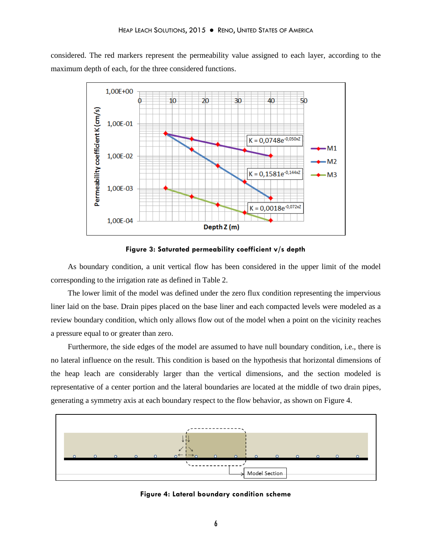considered. The red markers represent the permeability value assigned to each layer, according to the maximum depth of each, for the three considered functions.



**Figure 3: Saturated permeability coefficient v/s depth** 

As boundary condition, a unit vertical flow has been considered in the upper limit of the model corresponding to the irrigation rate as defined in Table 2.

The lower limit of the model was defined under the zero flux condition representing the impervious liner laid on the base. Drain pipes placed on the base liner and each compacted levels were modeled as a review boundary condition, which only allows flow out of the model when a point on the vicinity reaches a pressure equal to or greater than zero.

Furthermore, the side edges of the model are assumed to have null boundary condition, i.e., there is no lateral influence on the result. This condition is based on the hypothesis that horizontal dimensions of the heap leach are considerably larger than the vertical dimensions, and the section modeled is representative of a center portion and the lateral boundaries are located at the middle of two drain pipes, generating a symmetry axis at each boundary respect to the flow behavior, as shown on Figure 4.



**Figure 4: Lateral boundary condition scheme**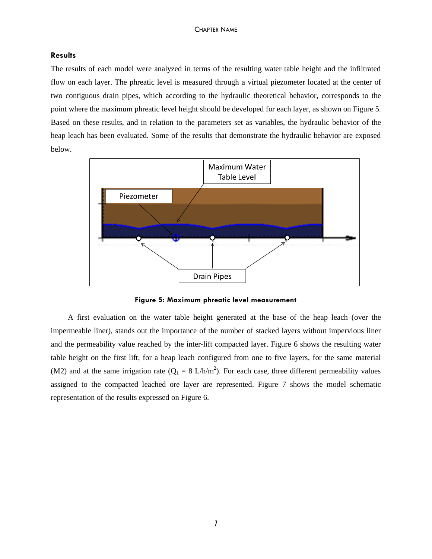## **Results**

The results of each model were analyzed in terms of the resulting water table height and the infiltrated flow on each layer. The phreatic level is measured through a virtual piezometer located at the center of two contiguous drain pipes, which according to the hydraulic theoretical behavior, corresponds to the point where the maximum phreatic level height should be developed for each layer, as shown on Figure 5. Based on these results, and in relation to the parameters set as variables, the hydraulic behavior of the heap leach has been evaluated. Some of the results that demonstrate the hydraulic behavior are exposed below.



**Figure 5: Maximum phreatic level measurement**

A first evaluation on the water table height generated at the base of the heap leach (over the impermeable liner), stands out the importance of the number of stacked layers without impervious liner and the permeability value reached by the inter-lift compacted layer. Figure 6 shows the resulting water table height on the first lift, for a heap leach configured from one to five layers, for the same material (M2) and at the same irrigation rate ( $Q_1 = 8$  L/h/m<sup>2</sup>). For each case, three different permeability values assigned to the compacted leached ore layer are represented. Figure 7 shows the model schematic representation of the results expressed on Figure 6.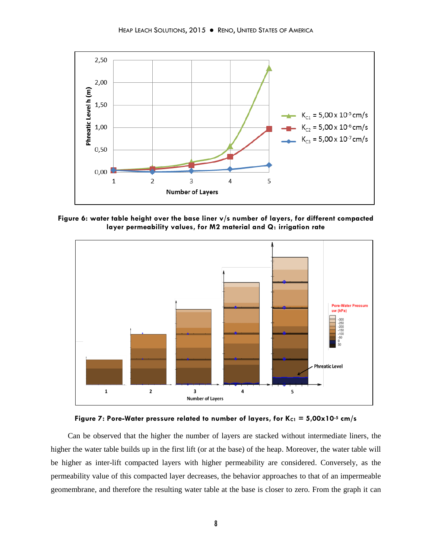

**Figure 6: water table height over the base liner v/s number of layers, for different compacted layer permeability values, for M2 material and Q<sup>1</sup> irrigation rate** 





Can be observed that the higher the number of layers are stacked without intermediate liners, the higher the water table builds up in the first lift (or at the base) of the heap. Moreover, the water table will be higher as inter-lift compacted layers with higher permeability are considered. Conversely, as the permeability value of this compacted layer decreases, the behavior approaches to that of an impermeable geomembrane, and therefore the resulting water table at the base is closer to zero. From the graph it can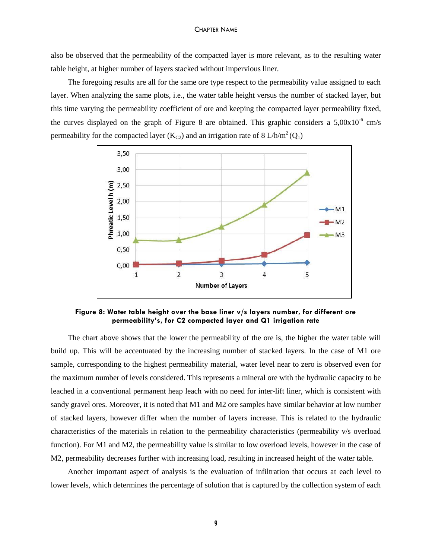also be observed that the permeability of the compacted layer is more relevant, as to the resulting water table height, at higher number of layers stacked without impervious liner.

The foregoing results are all for the same ore type respect to the permeability value assigned to each layer. When analyzing the same plots, i.e., the water table height versus the number of stacked layer, but this time varying the permeability coefficient of ore and keeping the compacted layer permeability fixed, the curves displayed on the graph of Figure 8 are obtained. This graphic considers a  $5,00x10^{-6}$  cm/s permeability for the compacted layer (K<sub>C2</sub>) and an irrigation rate of 8 L/h/m<sup>2</sup> (Q<sub>1</sub>)



**Figure 8: Water table height over the base liner v/s layers number, for different ore permeability's, for C2 compacted layer and Q1 irrigation rate**

The chart above shows that the lower the permeability of the ore is, the higher the water table will build up. This will be accentuated by the increasing number of stacked layers. In the case of M1 ore sample, corresponding to the highest permeability material, water level near to zero is observed even for the maximum number of levels considered. This represents a mineral ore with the hydraulic capacity to be leached in a conventional permanent heap leach with no need for inter-lift liner, which is consistent with sandy gravel ores. Moreover, it is noted that M1 and M2 ore samples have similar behavior at low number of stacked layers, however differ when the number of layers increase. This is related to the hydraulic characteristics of the materials in relation to the permeability characteristics (permeability v/s overload function). For M1 and M2, the permeability value is similar to low overload levels, however in the case of M2, permeability decreases further with increasing load, resulting in increased height of the water table.

Another important aspect of analysis is the evaluation of infiltration that occurs at each level to lower levels, which determines the percentage of solution that is captured by the collection system of each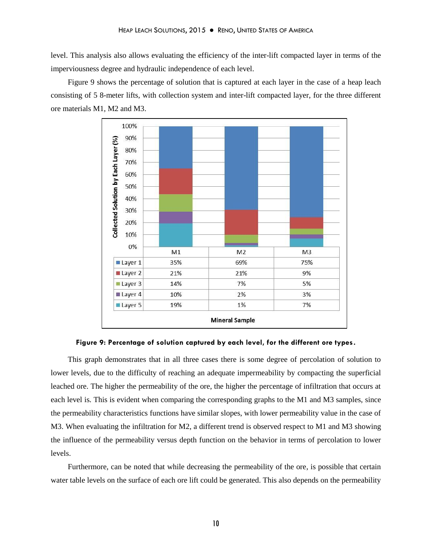level. This analysis also allows evaluating the efficiency of the inter-lift compacted layer in terms of the imperviousness degree and hydraulic independence of each level.

Figure 9 shows the percentage of solution that is captured at each layer in the case of a heap leach consisting of 5 8-meter lifts, with collection system and inter-lift compacted layer, for the three different ore materials M1, M2 and M3.



**Figure 9: Percentage of solution captured by each level, for the different ore types.**

This graph demonstrates that in all three cases there is some degree of percolation of solution to lower levels, due to the difficulty of reaching an adequate impermeability by compacting the superficial leached ore. The higher the permeability of the ore, the higher the percentage of infiltration that occurs at each level is. This is evident when comparing the corresponding graphs to the M1 and M3 samples, since the permeability characteristics functions have similar slopes, with lower permeability value in the case of M3. When evaluating the infiltration for M2, a different trend is observed respect to M1 and M3 showing the influence of the permeability versus depth function on the behavior in terms of percolation to lower levels.

Furthermore, can be noted that while decreasing the permeability of the ore, is possible that certain water table levels on the surface of each ore lift could be generated. This also depends on the permeability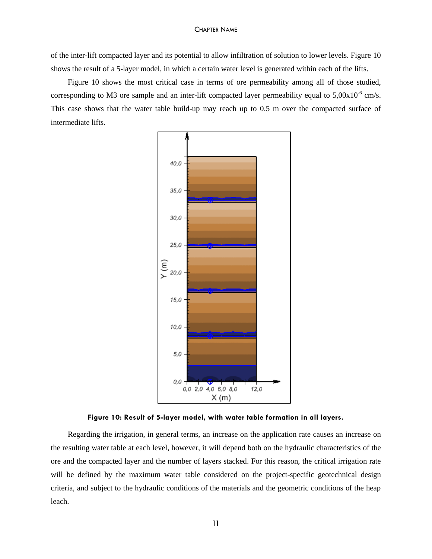of the inter-lift compacted layer and its potential to allow infiltration of solution to lower levels. Figure 10 shows the result of a 5-layer model, in which a certain water level is generated within each of the lifts.

Figure 10 shows the most critical case in terms of ore permeability among all of those studied, corresponding to M3 ore sample and an inter-lift compacted layer permeability equal to  $5,00x10^{-6}$  cm/s. This case shows that the water table build-up may reach up to 0.5 m over the compacted surface of intermediate lifts.



**Figure 10: Result of 5-layer model, with water table formation in all layers.**

Regarding the irrigation, in general terms, an increase on the application rate causes an increase on the resulting water table at each level, however, it will depend both on the hydraulic characteristics of the ore and the compacted layer and the number of layers stacked. For this reason, the critical irrigation rate will be defined by the maximum water table considered on the project-specific geotechnical design criteria, and subject to the hydraulic conditions of the materials and the geometric conditions of the heap leach.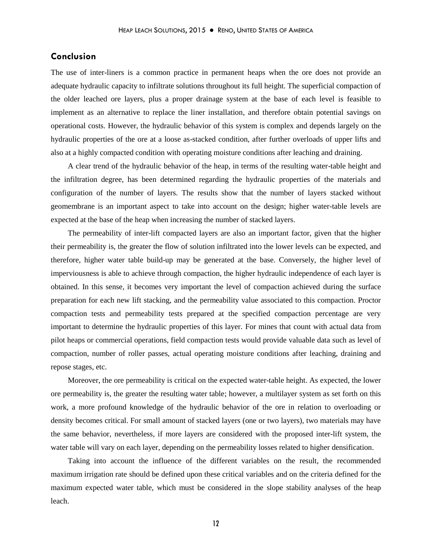# **Conclusion**

The use of inter-liners is a common practice in permanent heaps when the ore does not provide an adequate hydraulic capacity to infiltrate solutions throughout its full height. The superficial compaction of the older leached ore layers, plus a proper drainage system at the base of each level is feasible to implement as an alternative to replace the liner installation, and therefore obtain potential savings on operational costs. However, the hydraulic behavior of this system is complex and depends largely on the hydraulic properties of the ore at a loose as-stacked condition, after further overloads of upper lifts and also at a highly compacted condition with operating moisture conditions after leaching and draining.

A clear trend of the hydraulic behavior of the heap, in terms of the resulting water-table height and the infiltration degree, has been determined regarding the hydraulic properties of the materials and configuration of the number of layers. The results show that the number of layers stacked without geomembrane is an important aspect to take into account on the design; higher water-table levels are expected at the base of the heap when increasing the number of stacked layers.

The permeability of inter-lift compacted layers are also an important factor, given that the higher their permeability is, the greater the flow of solution infiltrated into the lower levels can be expected, and therefore, higher water table build-up may be generated at the base. Conversely, the higher level of imperviousness is able to achieve through compaction, the higher hydraulic independence of each layer is obtained. In this sense, it becomes very important the level of compaction achieved during the surface preparation for each new lift stacking, and the permeability value associated to this compaction. Proctor compaction tests and permeability tests prepared at the specified compaction percentage are very important to determine the hydraulic properties of this layer. For mines that count with actual data from pilot heaps or commercial operations, field compaction tests would provide valuable data such as level of compaction, number of roller passes, actual operating moisture conditions after leaching, draining and repose stages, etc.

Moreover, the ore permeability is critical on the expected water-table height. As expected, the lower ore permeability is, the greater the resulting water table; however, a multilayer system as set forth on this work, a more profound knowledge of the hydraulic behavior of the ore in relation to overloading or density becomes critical. For small amount of stacked layers (one or two layers), two materials may have the same behavior, nevertheless, if more layers are considered with the proposed inter-lift system, the water table will vary on each layer, depending on the permeability losses related to higher densification.

Taking into account the influence of the different variables on the result, the recommended maximum irrigation rate should be defined upon these critical variables and on the criteria defined for the maximum expected water table, which must be considered in the slope stability analyses of the heap leach.